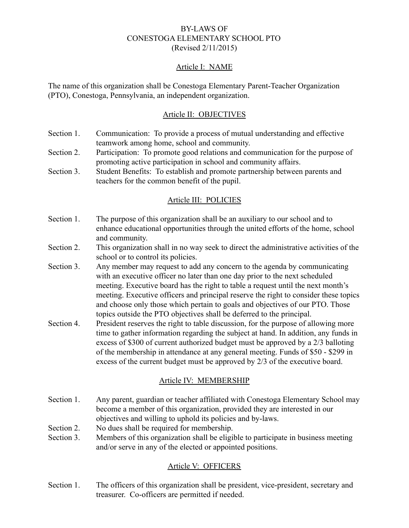### BY-LAWS OF CONESTOGA ELEMENTARY SCHOOL PTO (Revised 2/11/2015)

#### Article I: NAME

The name of this organization shall be Conestoga Elementary Parent-Teacher Organization (PTO), Conestoga, Pennsylvania, an independent organization.

### Article II: OBJECTIVES

- Section 1. Communication: To provide a process of mutual understanding and effective teamwork among home, school and community.
- Section 2. Participation: To promote good relations and communication for the purpose of promoting active participation in school and community affairs.
- Section 3. Student Benefits: To establish and promote partnership between parents and teachers for the common benefit of the pupil.

#### Article III: POLICIES

- Section 1. The purpose of this organization shall be an auxiliary to our school and to enhance educational opportunities through the united efforts of the home, school and community.
- Section 2. This organization shall in no way seek to direct the administrative activities of the school or to control its policies.
- Section 3. Any member may request to add any concern to the agenda by communicating with an executive officer no later than one day prior to the next scheduled meeting. Executive board has the right to table a request until the next month's meeting. Executive officers and principal reserve the right to consider these topics and choose only those which pertain to goals and objectives of our PTO. Those topics outside the PTO objectives shall be deferred to the principal.
- Section 4. President reserves the right to table discussion, for the purpose of allowing more time to gather information regarding the subject at hand. In addition, any funds in excess of \$300 of current authorized budget must be approved by a 2/3 balloting of the membership in attendance at any general meeting. Funds of \$50 - \$299 in excess of the current budget must be approved by 2/3 of the executive board.

#### Article IV: MEMBERSHIP

- Section 1. Any parent, guardian or teacher affiliated with Conestoga Elementary School may become a member of this organization, provided they are interested in our objectives and willing to uphold its policies and by-laws.
- Section 2. No dues shall be required for membership.
- Section 3. Members of this organization shall be eligible to participate in business meeting and/or serve in any of the elected or appointed positions.

#### Article V: OFFICERS

Section 1. The officers of this organization shall be president, vice-president, secretary and treasurer. Co-officers are permitted if needed.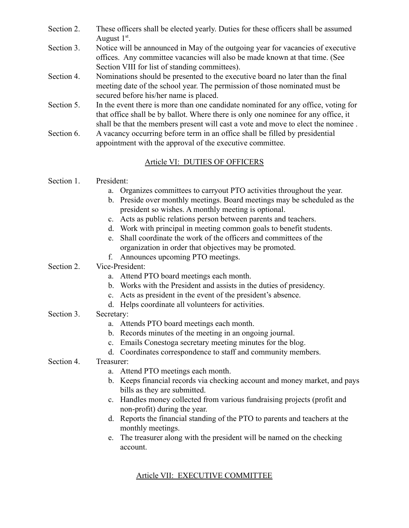- Section 2. These officers shall be elected yearly. Duties for these officers shall be assumed August  $1<sup>st</sup>$ .
- Section 3. Notice will be announced in May of the outgoing year for vacancies of executive offices. Any committee vacancies will also be made known at that time. (See Section VIII for list of standing committees).
- Section 4. Nominations should be presented to the executive board no later than the final meeting date of the school year. The permission of those nominated must be secured before his/her name is placed.
- Section 5. In the event there is more than one candidate nominated for any office, voting for that office shall be by ballot. Where there is only one nominee for any office, it shall be that the members present will cast a vote and move to elect the nominee .
- Section 6. A vacancy occurring before term in an office shall be filled by presidential appointment with the approval of the executive committee.

# Article VI: DUTIES OF OFFICERS

## Section 1. President:

- a. Organizes committees to carryout PTO activities throughout the year.
- b. Preside over monthly meetings. Board meetings may be scheduled as the president so wishes. A monthly meeting is optional.
- c. Acts as public relations person between parents and teachers.
- d. Work with principal in meeting common goals to benefit students.
- e. Shall coordinate the work of the officers and committees of the organization in order that objectives may be promoted.
- f. Announces upcoming PTO meetings.

## Section 2. Vice-President:

- a. Attend PTO board meetings each month.
- b. Works with the President and assists in the duties of presidency.
- c. Acts as president in the event of the president's absence.
- d. Helps coordinate all volunteers for activities.

### Section 3. Secretary:

- a. Attends PTO board meetings each month.
- b. Records minutes of the meeting in an ongoing journal.
- c. Emails Conestoga secretary meeting minutes for the blog.
- d. Coordinates correspondence to staff and community members.
- Section 4. Treasurer:
	- a. Attend PTO meetings each month.
	- b. Keeps financial records via checking account and money market, and pays bills as they are submitted.
	- c. Handles money collected from various fundraising projects (profit and non-profit) during the year.
	- d. Reports the financial standing of the PTO to parents and teachers at the monthly meetings.
	- e. The treasurer along with the president will be named on the checking account.

# Article VII: EXECUTIVE COMMITTEE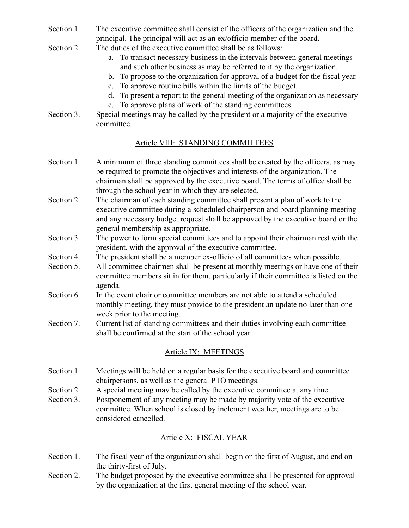- Section 1. The executive committee shall consist of the officers of the organization and the principal. The principal will act as an ex/officio member of the board.
- Section 2. The duties of the executive committee shall be as follows:
	- a. To transact necessary business in the intervals between general meetings and such other business as may be referred to it by the organization.
	- b. To propose to the organization for approval of a budget for the fiscal year.
	- c. To approve routine bills within the limits of the budget.
	- d. To present a report to the general meeting of the organization as necessary
	- e. To approve plans of work of the standing committees.
- Section 3. Special meetings may be called by the president or a majority of the executive committee.

### Article VIII: STANDING COMMITTEES

- Section 1. A minimum of three standing committees shall be created by the officers, as may be required to promote the objectives and interests of the organization. The chairman shall be approved by the executive board. The terms of office shall be through the school year in which they are selected.
- Section 2. The chairman of each standing committee shall present a plan of work to the executive committee during a scheduled chairperson and board planning meeting and any necessary budget request shall be approved by the executive board or the general membership as appropriate.
- Section 3. The power to form special committees and to appoint their chairman rest with the president, with the approval of the executive committee.
- Section 4. The president shall be a member ex-officio of all committees when possible.
- Section 5. All committee chairmen shall be present at monthly meetings or have one of their committee members sit in for them, particularly if their committee is listed on the agenda.
- Section 6. In the event chair or committee members are not able to attend a scheduled monthly meeting, they must provide to the president an update no later than one week prior to the meeting.
- Section 7. Current list of standing committees and their duties involving each committee shall be confirmed at the start of the school year.

### Article IX: MEETINGS

- Section 1. Meetings will be held on a regular basis for the executive board and committee chairpersons, as well as the general PTO meetings.
- Section 2. A special meeting may be called by the executive committee at any time.
- Section 3. Postponement of any meeting may be made by majority vote of the executive committee. When school is closed by inclement weather, meetings are to be considered cancelled.

# Article X: FISCAL YEAR

- Section 1. The fiscal year of the organization shall begin on the first of August, and end on the thirty-first of July.
- Section 2. The budget proposed by the executive committee shall be presented for approval by the organization at the first general meeting of the school year.